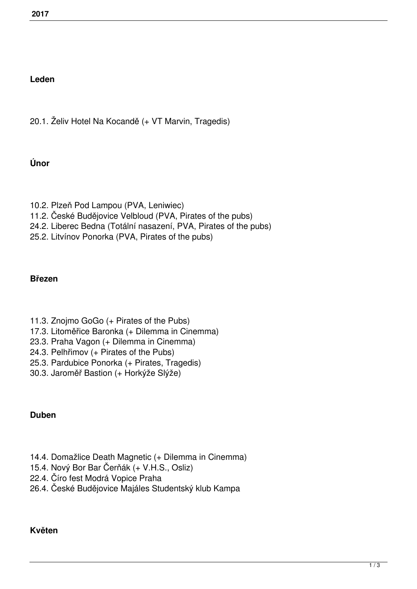### **Leden**

20.1. Želiv Hotel Na Kocandě (+ VT Marvin, Tragedis)

### **Únor**

- 10.2. Plzeň Pod Lampou (PVA, Leniwiec)
- 11.2. České Budějovice Velbloud (PVA, Pirates of the pubs)
- 24.2. Liberec Bedna (Totální nasazení, PVA, Pirates of the pubs)
- 25.2. Litvínov Ponorka (PVA, Pirates of the pubs)

### **Březen**

- 11.3. Znojmo GoGo (+ Pirates of the Pubs)
- 17.3. Litoměřice Baronka (+ Dilemma in Cinemma)
- 23.3. Praha Vagon (+ Dilemma in Cinemma)
- 24.3. Pelhřimov (+ Pirates of the Pubs)
- 25.3. Pardubice Ponorka (+ Pirates, Tragedis)
- 30.3. Jaroměř Bastion (+ Horkýže Slýže)

### **Duben**

- 14.4. Domažlice Death Magnetic (+ Dilemma in Cinemma)
- 15.4. Nový Bor Bar Čerňák (+ V.H.S., Osliz)
- 22.4. Číro fest Modrá Vopice Praha
- 26.4. České Budějovice Majáles Studentský klub Kampa

### **Květen**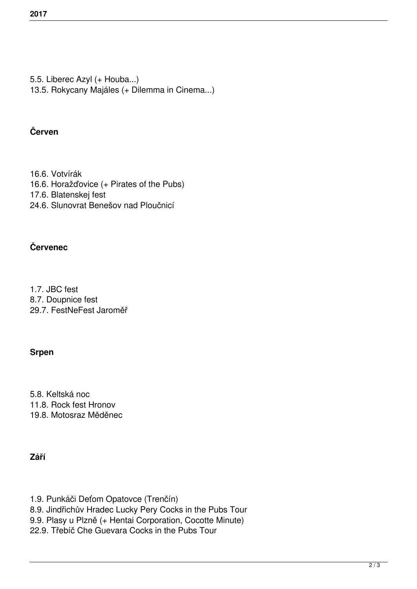- 5.5. Liberec Azyl (+ Houba...)
- 13.5. Rokycany Majáles (+ Dilemma in Cinema...)

## **Červen**

- 16.6. Votvírák
- 16.6. Horažďovice (+ Pirates of the Pubs)
- 17.6. Blatenskej fest
- 24.6. Slunovrat Benešov nad Ploučnicí

# **Červenec**

1.7. JBC fest 8.7. Doupnice fest 29.7. FestNeFest Jaroměř

# **Srpen**

5.8. Keltská noc 11.8. Rock fest Hronov 19.8. Motosraz Měděnec

# **Září**

- 1.9. Punkáči Deťom Opatovce (Trenčín)
- 8.9. Jindřichův Hradec Lucky Pery Cocks in the Pubs Tour
- 9.9. Plasy u Plzně (+ Hentai Corporation, Cocotte Minute)
- 22.9. Třebíč Che Guevara Cocks in the Pubs Tour